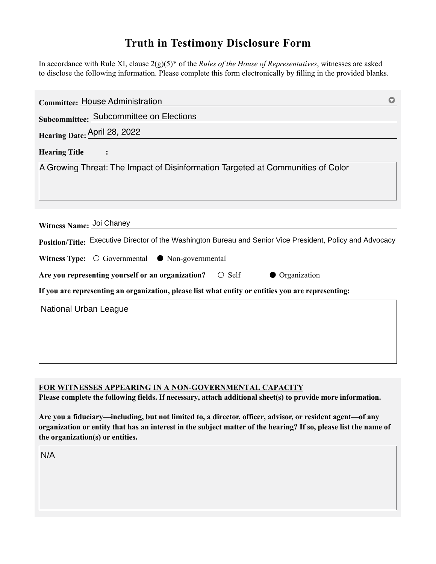## **Truth in Testimony Disclosure Form**

In accordance with Rule XI, clause 2(g)(5)\* of the *Rules of the House of Representatives*, witnesses are asked to disclose the following information. Please complete this form electronically by filling in the provided blanks.

| <b>Committee: House Administration</b>                                                                                                 |  |
|----------------------------------------------------------------------------------------------------------------------------------------|--|
| Subcommittee: Subcommittee on Elections                                                                                                |  |
| Hearing Date: April 28, 2022                                                                                                           |  |
| <b>Hearing Title</b>                                                                                                                   |  |
| A Growing Threat: The Impact of Disinformation Targeted at Communities of Color                                                        |  |
|                                                                                                                                        |  |
| Witness Name: Joi Chaney<br>Position/Title: Executive Director of the Washington Bureau and Senior Vice President, Policy and Advocacy |  |
| Witness Type: $\bigcirc$ Governmental $\bullet$ Non-governmental                                                                       |  |
| Are you representing yourself or an organization? $\circ$ Self<br>• Organization                                                       |  |
| If you are representing an organization, please list what entity or entities you are representing:                                     |  |
| National Urban League                                                                                                                  |  |

**FOR WITNESSES APPEARING IN A NON-GOVERNMENTAL CAPACITY**

**Please complete the following fields. If necessary, attach additional sheet(s) to provide more information.**

**Are you a fiduciary—including, but not limited to, a director, officer, advisor, or resident agent—of any organization or entity that has an interest in the subject matter of the hearing? If so, please list the name of the organization(s) or entities.**

N/A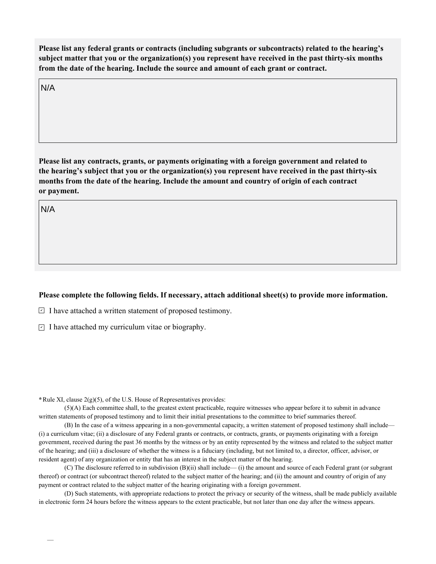**Please list any federal grants or contracts (including subgrants or subcontracts) related to the hearing's subject matter that you or the organization(s) you represent have received in the past thirty-six months from the date of the hearing. Include the source and amount of each grant or contract.** 

N/A

**Please list any contracts, grants, or payments originating with a foreign government and related to the hearing's subject that you or the organization(s) you represent have received in the past thirty-six months from the date of the hearing. Include the amount and country of origin of each contract or payment.** 

N/A

## **Please complete the following fields. If necessary, attach additional sheet(s) to provide more information.**

 $\exists$  I have attached a written statement of proposed testimony.

 $\subseteq$  I have attached my curriculum vitae or biography.

**\***Rule XI, clause 2(g)(5), of the U.S. House of Representatives provides:

(5)(A) Each committee shall, to the greatest extent practicable, require witnesses who appear before it to submit in advance written statements of proposed testimony and to limit their initial presentations to the committee to brief summaries thereof.

(B) In the case of a witness appearing in a non-governmental capacity, a written statement of proposed testimony shall include— (i) a curriculum vitae; (ii) a disclosure of any Federal grants or contracts, or contracts, grants, or payments originating with a foreign government, received during the past 36 months by the witness or by an entity represented by the witness and related to the subject matter of the hearing; and (iii) a disclosure of whether the witness is a fiduciary (including, but not limited to, a director, officer, advisor, or resident agent) of any organization or entity that has an interest in the subject matter of the hearing.

(C) The disclosure referred to in subdivision (B)(ii) shall include— (i) the amount and source of each Federal grant (or subgrant thereof) or contract (or subcontract thereof) related to the subject matter of the hearing; and (ii) the amount and country of origin of any payment or contract related to the subject matter of the hearing originating with a foreign government.

(D) Such statements, with appropriate redactions to protect the privacy or security of the witness, shall be made publicly available in electronic form 24 hours before the witness appears to the extent practicable, but not later than one day after the witness appears.